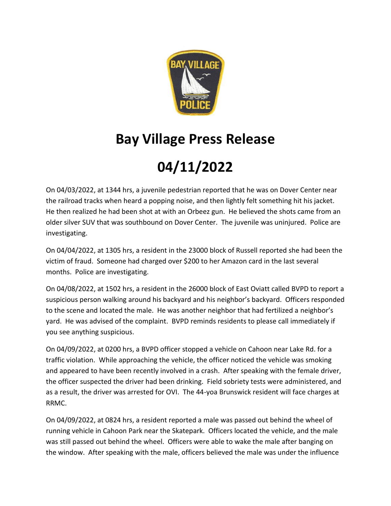

## **Bay Village Press Release**

## **04/11/2022**

On 04/03/2022, at 1344 hrs, a juvenile pedestrian reported that he was on Dover Center near the railroad tracks when heard a popping noise, and then lightly felt something hit his jacket. He then realized he had been shot at with an Orbeez gun. He believed the shots came from an older silver SUV that was southbound on Dover Center. The juvenile was uninjured. Police are investigating.

On 04/04/2022, at 1305 hrs, a resident in the 23000 block of Russell reported she had been the victim of fraud. Someone had charged over \$200 to her Amazon card in the last several months. Police are investigating.

On 04/08/2022, at 1502 hrs, a resident in the 26000 block of East Oviatt called BVPD to report a suspicious person walking around his backyard and his neighbor's backyard. Officers responded to the scene and located the male. He was another neighbor that had fertilized a neighbor's yard. He was advised of the complaint. BVPD reminds residents to please call immediately if you see anything suspicious.

On 04/09/2022, at 0200 hrs, a BVPD officer stopped a vehicle on Cahoon near Lake Rd. for a traffic violation. While approaching the vehicle, the officer noticed the vehicle was smoking and appeared to have been recently involved in a crash. After speaking with the female driver, the officer suspected the driver had been drinking. Field sobriety tests were administered, and as a result, the driver was arrested for OVI. The 44-yoa Brunswick resident will face charges at RRMC.

On 04/09/2022, at 0824 hrs, a resident reported a male was passed out behind the wheel of running vehicle in Cahoon Park near the Skatepark. Officers located the vehicle, and the male was still passed out behind the wheel. Officers were able to wake the male after banging on the window. After speaking with the male, officers believed the male was under the influence